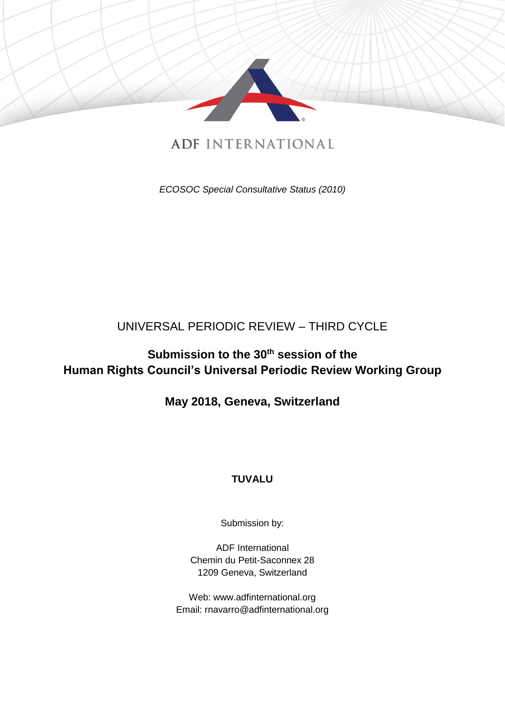

## **ADE INTERNATIONAL**

*ECOSOC Special Consultative Status (2010)*

# UNIVERSAL PERIODIC REVIEW – THIRD CYCLE

# **Submission to the 30th session of the Human Rights Council's Universal Periodic Review Working Group**

## **May 2018, Geneva, Switzerland**

## **TUVALU**

Submission by:

ADF International Chemin du Petit-Saconnex 28 1209 Geneva, Switzerland

Web: www.adfinternational.org Email: rnavarro@adfinternational.org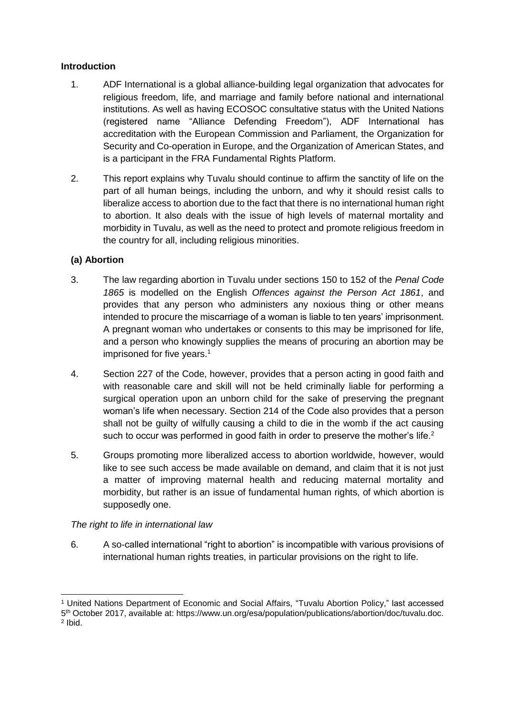#### **Introduction**

- 1. ADF International is a global alliance-building legal organization that advocates for religious freedom, life, and marriage and family before national and international institutions. As well as having ECOSOC consultative status with the United Nations (registered name "Alliance Defending Freedom"), ADF International has accreditation with the European Commission and Parliament, the Organization for Security and Co-operation in Europe, and the Organization of American States, and is a participant in the FRA Fundamental Rights Platform.
- 2. This report explains why Tuvalu should continue to affirm the sanctity of life on the part of all human beings, including the unborn, and why it should resist calls to liberalize access to abortion due to the fact that there is no international human right to abortion. It also deals with the issue of high levels of maternal mortality and morbidity in Tuvalu, as well as the need to protect and promote religious freedom in the country for all, including religious minorities.

#### **(a) Abortion**

- 3. The law regarding abortion in Tuvalu under sections 150 to 152 of the *Penal Code 1865* is modelled on the English *Offences against the Person Act 1861*, and provides that any person who administers any noxious thing or other means intended to procure the miscarriage of a woman is liable to ten years' imprisonment. A pregnant woman who undertakes or consents to this may be imprisoned for life, and a person who knowingly supplies the means of procuring an abortion may be imprisoned for five years.<sup>1</sup>
- 4. Section 227 of the Code, however, provides that a person acting in good faith and with reasonable care and skill will not be held criminally liable for performing a surgical operation upon an unborn child for the sake of preserving the pregnant woman's life when necessary. Section 214 of the Code also provides that a person shall not be guilty of wilfully causing a child to die in the womb if the act causing such to occur was performed in good faith in order to preserve the mother's life.<sup>2</sup>
- 5. Groups promoting more liberalized access to abortion worldwide, however, would like to see such access be made available on demand, and claim that it is not just a matter of improving maternal health and reducing maternal mortality and morbidity, but rather is an issue of fundamental human rights, of which abortion is supposedly one.

#### *The right to life in international law*

6. A so-called international "right to abortion" is incompatible with various provisions of international human rights treaties, in particular provisions on the right to life.

<sup>-</sup><sup>1</sup> United Nations Department of Economic and Social Affairs, "Tuvalu Abortion Policy," last accessed 5 th October 2017, available at: https://www.un.org/esa/population/publications/abortion/doc/tuvalu.doc. 2 Ibid.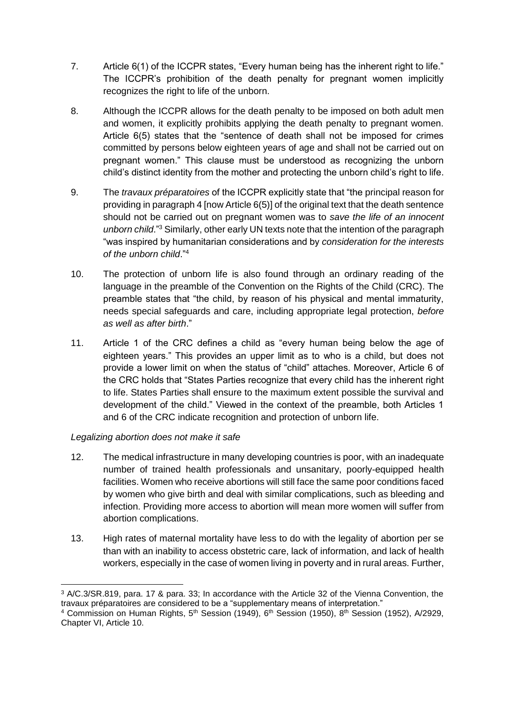- 7. Article 6(1) of the ICCPR states, "Every human being has the inherent right to life." The ICCPR's prohibition of the death penalty for pregnant women implicitly recognizes the right to life of the unborn.
- 8. Although the ICCPR allows for the death penalty to be imposed on both adult men and women, it explicitly prohibits applying the death penalty to pregnant women. Article 6(5) states that the "sentence of death shall not be imposed for crimes committed by persons below eighteen years of age and shall not be carried out on pregnant women." This clause must be understood as recognizing the unborn child's distinct identity from the mother and protecting the unborn child's right to life.
- 9. The *travaux préparatoires* of the ICCPR explicitly state that "the principal reason for providing in paragraph 4 [now Article 6(5)] of the original text that the death sentence should not be carried out on pregnant women was to *save the life of an innocent unborn child*."<sup>3</sup> Similarly, other early UN texts note that the intention of the paragraph "was inspired by humanitarian considerations and by *consideration for the interests of the unborn child*."<sup>4</sup>
- 10. The protection of unborn life is also found through an ordinary reading of the language in the preamble of the Convention on the Rights of the Child (CRC). The preamble states that "the child, by reason of his physical and mental immaturity, needs special safeguards and care, including appropriate legal protection, *before as well as after birth*."
- 11. Article 1 of the CRC defines a child as "every human being below the age of eighteen years." This provides an upper limit as to who is a child, but does not provide a lower limit on when the status of "child" attaches. Moreover, Article 6 of the CRC holds that "States Parties recognize that every child has the inherent right to life. States Parties shall ensure to the maximum extent possible the survival and development of the child." Viewed in the context of the preamble, both Articles 1 and 6 of the CRC indicate recognition and protection of unborn life.

#### *Legalizing abortion does not make it safe*

- 12. The medical infrastructure in many developing countries is poor, with an inadequate number of trained health professionals and unsanitary, poorly-equipped health facilities. Women who receive abortions will still face the same poor conditions faced by women who give birth and deal with similar complications, such as bleeding and infection. Providing more access to abortion will mean more women will suffer from abortion complications.
- 13. High rates of maternal mortality have less to do with the legality of abortion per se than with an inability to access obstetric care, lack of information, and lack of health workers, especially in the case of women living in poverty and in rural areas. Further,

<sup>-</sup><sup>3</sup> A/C.3/SR.819, para. 17 & para. 33; In accordance with the Article 32 of the Vienna Convention, the travaux préparatoires are considered to be a "supplementary means of interpretation."

<sup>&</sup>lt;sup>4</sup> Commission on Human Rights, 5<sup>th</sup> Session (1949), 6<sup>th</sup> Session (1950), 8<sup>th</sup> Session (1952), A/2929, Chapter VI, Article 10.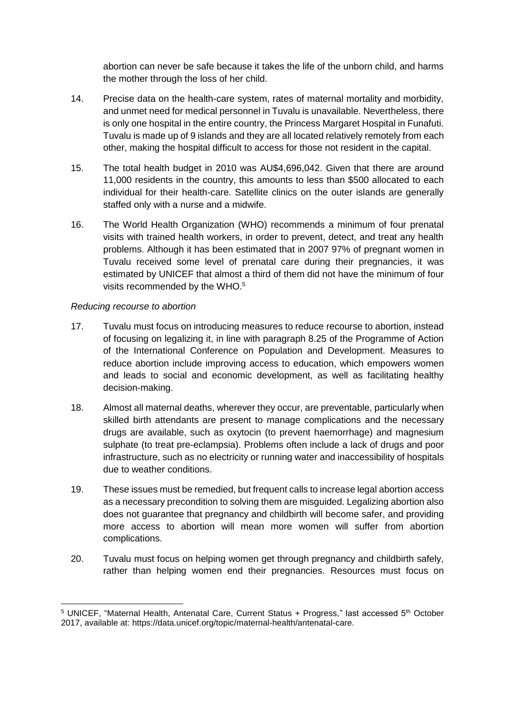abortion can never be safe because it takes the life of the unborn child, and harms the mother through the loss of her child.

- 14. Precise data on the health-care system, rates of maternal mortality and morbidity, and unmet need for medical personnel in Tuvalu is unavailable. Nevertheless, there is only one hospital in the entire country, the Princess Margaret Hospital in Funafuti. Tuvalu is made up of 9 islands and they are all located relatively remotely from each other, making the hospital difficult to access for those not resident in the capital.
- 15. The total health budget in 2010 was AU\$4,696,042. Given that there are around 11,000 residents in the country, this amounts to less than \$500 allocated to each individual for their health-care. Satellite clinics on the outer islands are generally staffed only with a nurse and a midwife.
- 16. The World Health Organization (WHO) recommends a minimum of four prenatal visits with trained health workers, in order to prevent, detect, and treat any health problems. Although it has been estimated that in 2007 97% of pregnant women in Tuvalu received some level of prenatal care during their pregnancies, it was estimated by UNICEF that almost a third of them did not have the minimum of four visits recommended by the WHO.<sup>5</sup>

#### *Reducing recourse to abortion*

- 17. Tuvalu must focus on introducing measures to reduce recourse to abortion, instead of focusing on legalizing it, in line with paragraph 8.25 of the Programme of Action of the International Conference on Population and Development. Measures to reduce abortion include improving access to education, which empowers women and leads to social and economic development, as well as facilitating healthy decision-making.
- 18. Almost all maternal deaths, wherever they occur, are preventable, particularly when skilled birth attendants are present to manage complications and the necessary drugs are available, such as oxytocin (to prevent haemorrhage) and magnesium sulphate (to treat pre-eclampsia). Problems often include a lack of drugs and poor infrastructure, such as no electricity or running water and inaccessibility of hospitals due to weather conditions.
- 19. These issues must be remedied, but frequent calls to increase legal abortion access as a necessary precondition to solving them are misguided. Legalizing abortion also does not guarantee that pregnancy and childbirth will become safer, and providing more access to abortion will mean more women will suffer from abortion complications.
- 20. Tuvalu must focus on helping women get through pregnancy and childbirth safely, rather than helping women end their pregnancies. Resources must focus on

<sup>-</sup><sup>5</sup> UNICEF, "Maternal Health, Antenatal Care, Current Status + Progress," last accessed 5<sup>th</sup> October 2017, available at: https://data.unicef.org/topic/maternal-health/antenatal-care.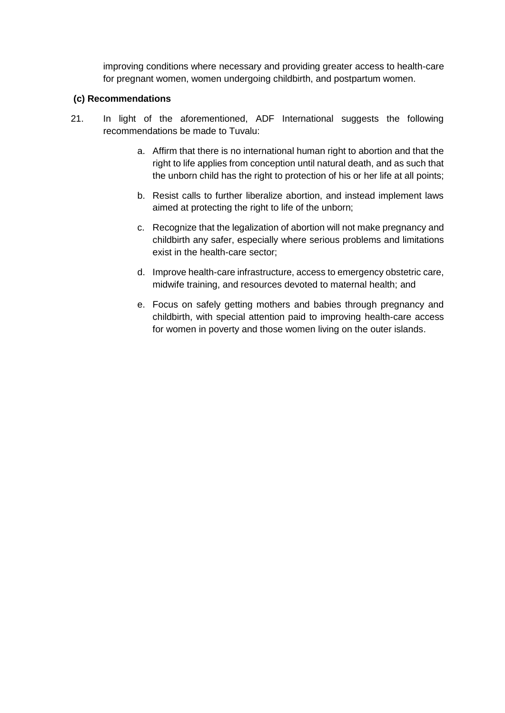improving conditions where necessary and providing greater access to health-care for pregnant women, women undergoing childbirth, and postpartum women.

#### **(c) Recommendations**

- 21. In light of the aforementioned, ADF International suggests the following recommendations be made to Tuvalu:
	- a. Affirm that there is no international human right to abortion and that the right to life applies from conception until natural death, and as such that the unborn child has the right to protection of his or her life at all points;
	- b. Resist calls to further liberalize abortion, and instead implement laws aimed at protecting the right to life of the unborn;
	- c. Recognize that the legalization of abortion will not make pregnancy and childbirth any safer, especially where serious problems and limitations exist in the health-care sector;
	- d. Improve health-care infrastructure, access to emergency obstetric care, midwife training, and resources devoted to maternal health; and
	- e. Focus on safely getting mothers and babies through pregnancy and childbirth, with special attention paid to improving health-care access for women in poverty and those women living on the outer islands.